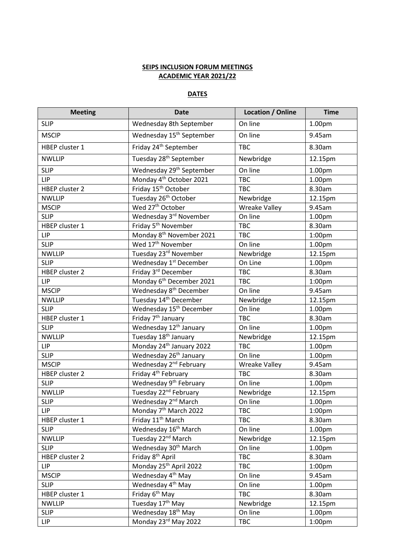## **SEIPS INCLUSION FORUM MEETINGS ACADEMIC YEAR 2021/22**

## **DATES**

| <b>Meeting</b> | <b>Date</b>                          | <b>Location / Online</b> | <b>Time</b>        |
|----------------|--------------------------------------|--------------------------|--------------------|
| <b>SLIP</b>    | Wednesday 8th September              | On line                  | 1.00pm             |
| <b>MSCIP</b>   | Wednesday 15 <sup>th</sup> September | On line                  | 9.45am             |
| HBEP cluster 1 | Friday 24 <sup>th</sup> September    | <b>TBC</b>               | 8.30am             |
| <b>NWLLIP</b>  | Tuesday 28 <sup>th</sup> September   | Newbridge                | 12.15pm            |
| <b>SLIP</b>    | Wednesday 29 <sup>th</sup> September | On line                  | 1.00pm             |
| LIP            | Monday 4 <sup>th</sup> October 2021  | <b>TBC</b>               | 1.00pm             |
| HBEP cluster 2 | Friday 15 <sup>th</sup> October      | <b>TBC</b>               | 8.30am             |
| <b>NWLLIP</b>  | Tuesday 26 <sup>th</sup> October     | Newbridge                | 12.15pm            |
| <b>MSCIP</b>   | Wed 27 <sup>th</sup> October         | <b>Wreake Valley</b>     | 9.45am             |
| <b>SLIP</b>    | Wednesday 3rd November               | On line                  | 1.00pm             |
| HBEP cluster 1 | Friday 5 <sup>th</sup> November      | <b>TBC</b>               | 8.30am             |
| LIP            | Monday 8 <sup>th</sup> November 2021 | <b>TBC</b>               | 1:00pm             |
| <b>SLIP</b>    | Wed 17 <sup>th</sup> November        | On line                  | 1.00pm             |
| <b>NWLLIP</b>  | Tuesday 23rd November                | Newbridge                | 12.15pm            |
| <b>SLIP</b>    | Wednesday 1 <sup>st</sup> December   | On Line                  | 1.00pm             |
| HBEP cluster 2 | Friday 3rd December                  | <b>TBC</b>               | 8.30am             |
| <b>LIP</b>     | Monday 6 <sup>th</sup> December 2021 | <b>TBC</b>               | 1:00 <sub>pm</sub> |
| <b>MSCIP</b>   | Wednesday 8 <sup>th</sup> December   | On line                  | 9.45am             |
| <b>NWLLIP</b>  | Tuesday 14 <sup>th</sup> December    | Newbridge                | 12.15pm            |
| <b>SLIP</b>    | Wednesday 15 <sup>th</sup> December  | On line                  | 1.00pm             |
| HBEP cluster 1 | Friday 7 <sup>th</sup> January       | <b>TBC</b>               | 8.30am             |
| <b>SLIP</b>    | Wednesday 12 <sup>th</sup> January   | On line                  | 1.00pm             |
| <b>NWLLIP</b>  | Tuesday 18 <sup>th</sup> January     | Newbridge                | 12.15pm            |
| LIP            | Monday 24 <sup>th</sup> January 2022 | <b>TBC</b>               | 1.00pm             |
| <b>SLIP</b>    | Wednesday 26 <sup>th</sup> January   | On line                  | 1.00pm             |
| <b>MSCIP</b>   | Wednesday 2 <sup>nd</sup> February   | <b>Wreake Valley</b>     | 9.45am             |
| HBEP cluster 2 | Friday 4 <sup>th</sup> February      | <b>TBC</b>               | 8.30am             |
| <b>SLIP</b>    | Wednesday 9 <sup>th</sup> February   | On line                  | 1.00pm             |
| <b>NWLLIP</b>  | Tuesday 22 <sup>nd</sup> February    | Newbridge                | 12.15pm            |
| <b>SLIP</b>    | Wednesday 2 <sup>nd</sup> March      | On line                  | 1.00pm             |
| LIP            | Monday 7 <sup>th</sup> March 2022    | <b>TBC</b>               | 1:00 <sub>pm</sub> |
| HBEP cluster 1 | Friday 11 <sup>th</sup> March        | <b>TBC</b>               | 8.30am             |
| <b>SLIP</b>    | Wednesday 16 <sup>th</sup> March     | On line                  | 1.00 <sub>pm</sub> |
| <b>NWLLIP</b>  | Tuesday 22 <sup>nd</sup> March       | Newbridge                | 12.15pm            |
| <b>SLIP</b>    | Wednesday 30 <sup>th</sup> March     | On line                  | 1.00pm             |
| HBEP cluster 2 | Friday 8 <sup>th</sup> April         | <b>TBC</b>               | 8.30am             |
| LIP            | Monday 25 <sup>th</sup> April 2022   | <b>TBC</b>               | 1:00 <sub>pm</sub> |
| <b>MSCIP</b>   | Wednesday 4 <sup>th</sup> May        | On line                  | 9.45am             |
| <b>SLIP</b>    | Wednesday 4 <sup>th</sup> May        | On line                  | 1.00 <sub>pm</sub> |
| HBEP cluster 1 | Friday 6 <sup>th</sup> May           | <b>TBC</b>               | 8.30am             |
| <b>NWLLIP</b>  | Tuesday 17th May                     | Newbridge                | 12.15pm            |
| <b>SLIP</b>    | Wednesday 18 <sup>th</sup> May       | On line                  | 1.00 <sub>pm</sub> |
| LIP            | Monday 23rd May 2022                 | <b>TBC</b>               | 1:00 <sub>pm</sub> |